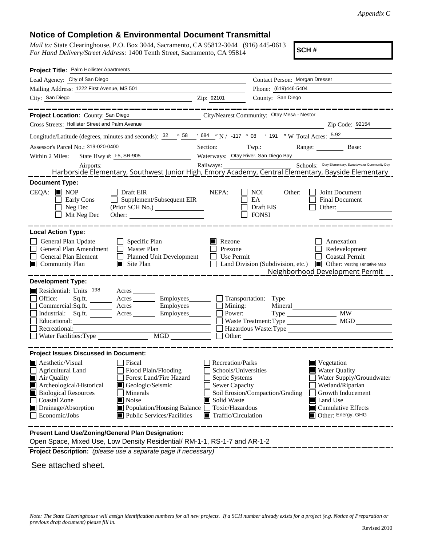## **Notice of Completion & Environmental Document Transmittal**

*Mail to:* State Clearinghouse, P.O. Box 3044, Sacramento, CA 95812-3044 (916) 445-0613 *For Hand Delivery/Street Address:* 1400 Tenth Street, Sacramento, CA 95814

**SCH #**

| Project Title: Palm Hollister Apartments                                                                                                                                                                                                                                                                                                                                                                               |                                                                                                                                       |                                                               |                                                                                                                                                                                               |  |  |
|------------------------------------------------------------------------------------------------------------------------------------------------------------------------------------------------------------------------------------------------------------------------------------------------------------------------------------------------------------------------------------------------------------------------|---------------------------------------------------------------------------------------------------------------------------------------|---------------------------------------------------------------|-----------------------------------------------------------------------------------------------------------------------------------------------------------------------------------------------|--|--|
| Lead Agency: City of San Diego                                                                                                                                                                                                                                                                                                                                                                                         | Contact Person: Morgan Dresser                                                                                                        |                                                               |                                                                                                                                                                                               |  |  |
| Mailing Address: 1222 First Avenue, MS 501                                                                                                                                                                                                                                                                                                                                                                             |                                                                                                                                       | Phone: (619)446-5404                                          |                                                                                                                                                                                               |  |  |
| City: San Diego<br><u> 1989 - Johann Stoff, deutscher Stoffen und der Stoffen und der Stoffen und der Stoffen und der Stoffen und der</u>                                                                                                                                                                                                                                                                              | Zip: 92101                                                                                                                            | County: San Diego                                             |                                                                                                                                                                                               |  |  |
|                                                                                                                                                                                                                                                                                                                                                                                                                        |                                                                                                                                       |                                                               |                                                                                                                                                                                               |  |  |
| Project Location: County: San Diego                                                                                                                                                                                                                                                                                                                                                                                    |                                                                                                                                       | City/Nearest Community: Otay Mesa - Nestor                    |                                                                                                                                                                                               |  |  |
| Cross Streets: Hollister Street and Palm Avenue                                                                                                                                                                                                                                                                                                                                                                        |                                                                                                                                       |                                                               | Zip Code: 92154                                                                                                                                                                               |  |  |
| Longitude/Latitude (degrees, minutes and seconds): $\frac{32}{58}$ $\frac{684}{100}$ N / -117 $\degree$ 08 $\degree$ 191 $\degree$ W Total Acres: $\frac{5.92}{5.92}$                                                                                                                                                                                                                                                  |                                                                                                                                       |                                                               |                                                                                                                                                                                               |  |  |
| Assessor's Parcel No.: 319-020-0400<br><u> 1989 - Johann Barbara, martxa a</u>                                                                                                                                                                                                                                                                                                                                         |                                                                                                                                       |                                                               | Section: Twp.: Range: Base:                                                                                                                                                                   |  |  |
| State Hwy #: 1-5, SR-905<br>Within 2 Miles:                                                                                                                                                                                                                                                                                                                                                                            |                                                                                                                                       | Waterways: Otay River, San Diego Bay                          |                                                                                                                                                                                               |  |  |
|                                                                                                                                                                                                                                                                                                                                                                                                                        |                                                                                                                                       |                                                               |                                                                                                                                                                                               |  |  |
| Airports: Airports: Allmany, Southwest Junior High, Emory Academy, Central Elementary, Bayside Elementary, Southwest Junior High, Emory Academy, Central Elementary, Bayside Elementary, Bayside Elementary, Bayside Elementar                                                                                                                                                                                         |                                                                                                                                       |                                                               |                                                                                                                                                                                               |  |  |
| <b>Document Type:</b><br>$CEQA:$ MOP<br>$\Box$ Draft EIR<br>Supplement/Subsequent EIR<br>Early Cons<br>Neg Dec<br>(Prior SCH No.)<br>Mit Neg Dec<br>Other:                                                                                                                                                                                                                                                             | NEPA:                                                                                                                                 | NOI.<br>Other:<br>EA<br>Draft EIS<br><b>FONSI</b>             | Joint Document<br>Final Document<br>Other:                                                                                                                                                    |  |  |
| <b>Local Action Type:</b><br>General Plan Update<br>$\Box$ Specific Plan<br>General Plan Amendment<br>$\Box$ Master Plan<br>General Plan Element<br>$\Box$ Planned Unit Development<br>Community Plan<br>$\blacksquare$ Site Plan                                                                                                                                                                                      | Rezone<br>Prezone<br>Use Permit<br>$\mathbf{1}$                                                                                       |                                                               | Annexation<br>Redevelopment<br><b>Coastal Permit</b><br>Land Division (Subdivision, etc.) <b>I</b> Other: Vesting Tentative Map<br>Neighborhood Development Permit                            |  |  |
| <b>Development Type:</b><br>Residential: Units <sup>198</sup> Acres<br>Office:<br>Sq.ft. Acres Employees Transportation: Type<br>Commercial:Sq.ft. _______ Acres _______ Employees ______ $\Box$<br>Industrial: Sq.ft.<br>Acres Employees<br>Educational:<br>Recreational:<br>MGD                                                                                                                                      |                                                                                                                                       | Mining:<br>Mineral<br>Power:<br>Type<br>Waste Treatment: Type | <b>MW</b><br>MGD<br>Hazardous Waste: Type                                                                                                                                                     |  |  |
| <b>Project Issues Discussed in Document:</b>                                                                                                                                                                                                                                                                                                                                                                           |                                                                                                                                       |                                                               |                                                                                                                                                                                               |  |  |
| <b>A</b> esthetic/Visual<br>Fiscal<br>Agricultural Land<br>Flood Plain/Flooding<br>Forest Land/Fire Hazard<br>Air Quality<br>Archeological/Historical<br>Geologic/Seismic<br><b>Biological Resources</b><br>Minerals<br><b>Coastal Zone</b><br><b>■</b> Noise<br>Drainage/Absorption<br>Population/Housing Balance<br>Public Services/Facilities<br>Economic/Jobs<br>Present Land Use/Zoning/General Plan Designation: | Recreation/Parks<br>Schools/Universities<br>Septic Systems<br>Sewer Capacity<br>Solid Waste<br>Toxic/Hazardous<br>Traffic/Circulation | Soil Erosion/Compaction/Grading                               | $\blacksquare$ Vegetation<br><b>Water Quality</b><br>Water Supply/Groundwater<br>Wetland/Riparian<br>Growth Inducement<br>Land Use<br>$\blacksquare$ Cumulative Effects<br>Other: Energy, GHG |  |  |
|                                                                                                                                                                                                                                                                                                                                                                                                                        |                                                                                                                                       |                                                               |                                                                                                                                                                                               |  |  |

Open Space, Mixed Use, Low Density Residential/ RM-1-1, RS-1-7 and AR-1-2

**Project Description:** *(please use a separate page if necessary)*

See attached sheet.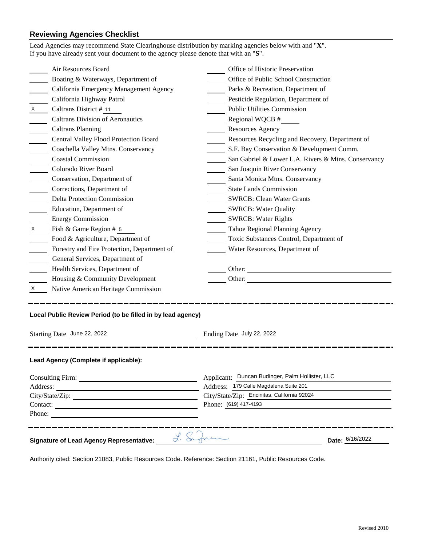## **Reviewing Agencies Checklist**

|                                                                                | Lead Agencies may recommend State Clearinghouse distribution by marking agencies below with and "X".<br>If you have already sent your document to the agency please denote that with an "S". |                                                     |  |  |
|--------------------------------------------------------------------------------|----------------------------------------------------------------------------------------------------------------------------------------------------------------------------------------------|-----------------------------------------------------|--|--|
|                                                                                | Air Resources Board                                                                                                                                                                          | Office of Historic Preservation                     |  |  |
|                                                                                | Boating & Waterways, Department of                                                                                                                                                           | Office of Public School Construction                |  |  |
|                                                                                | California Emergency Management Agency                                                                                                                                                       | Parks & Recreation, Department of                   |  |  |
|                                                                                | California Highway Patrol                                                                                                                                                                    | Pesticide Regulation, Department of                 |  |  |
| $x \sim$                                                                       | Caltrans District # 11                                                                                                                                                                       | <b>Public Utilities Commission</b>                  |  |  |
|                                                                                | <b>Caltrans Division of Aeronautics</b>                                                                                                                                                      | Regional WQCB #                                     |  |  |
|                                                                                | <b>Caltrans Planning</b>                                                                                                                                                                     | <b>Resources Agency</b>                             |  |  |
|                                                                                | Central Valley Flood Protection Board                                                                                                                                                        | Resources Recycling and Recovery, Department of     |  |  |
|                                                                                | Coachella Valley Mtns. Conservancy                                                                                                                                                           | S.F. Bay Conservation & Development Comm.           |  |  |
| $\mathbb{R}^2$                                                                 | <b>Coastal Commission</b>                                                                                                                                                                    | San Gabriel & Lower L.A. Rivers & Mtns. Conservancy |  |  |
| $\mathcal{L}^{\text{max}}$                                                     | Colorado River Board                                                                                                                                                                         | San Joaquin River Conservancy                       |  |  |
|                                                                                | Conservation, Department of                                                                                                                                                                  | Santa Monica Mtns. Conservancy                      |  |  |
|                                                                                | Corrections, Department of                                                                                                                                                                   | <b>State Lands Commission</b>                       |  |  |
|                                                                                | <b>Delta Protection Commission</b>                                                                                                                                                           | <b>SWRCB: Clean Water Grants</b>                    |  |  |
|                                                                                | Education, Department of                                                                                                                                                                     | <b>SWRCB: Water Quality</b>                         |  |  |
|                                                                                | <b>Energy Commission</b>                                                                                                                                                                     | <b>SWRCB: Water Rights</b>                          |  |  |
| $X \sim$                                                                       | Fish & Game Region # 5                                                                                                                                                                       | Tahoe Regional Planning Agency                      |  |  |
|                                                                                | Food & Agriculture, Department of                                                                                                                                                            | Toxic Substances Control, Department of             |  |  |
|                                                                                | Forestry and Fire Protection, Department of                                                                                                                                                  | Water Resources, Department of                      |  |  |
|                                                                                | General Services, Department of                                                                                                                                                              |                                                     |  |  |
|                                                                                | Health Services, Department of                                                                                                                                                               |                                                     |  |  |
|                                                                                | Housing & Community Development                                                                                                                                                              | Other:                                              |  |  |
| $\mathsf{X}$                                                                   | Native American Heritage Commission                                                                                                                                                          |                                                     |  |  |
| Local Public Review Period (to be filled in by lead agency)                    |                                                                                                                                                                                              |                                                     |  |  |
| Starting Date June 22, 2022                                                    |                                                                                                                                                                                              | Ending Date July 22, 2022                           |  |  |
| Lead Agency (Complete if applicable):                                          |                                                                                                                                                                                              |                                                     |  |  |
|                                                                                |                                                                                                                                                                                              | Applicant: Duncan Budinger, Palm Hollister, LLC     |  |  |
| Address:                                                                       |                                                                                                                                                                                              | Address: 179 Calle Magdalena Suite 201              |  |  |
|                                                                                |                                                                                                                                                                                              | City/State/Zip: Encinitas, California 92024         |  |  |
| Contact:<br>Phone:                                                             |                                                                                                                                                                                              | Phone: (619) 417-4193                               |  |  |
| L. Summe<br>Date: 6/16/2022<br><b>Signature of Lead Agency Representative:</b> |                                                                                                                                                                                              |                                                     |  |  |

Authority cited: Section 21083, Public Resources Code. Reference: Section 21161, Public Resources Code.